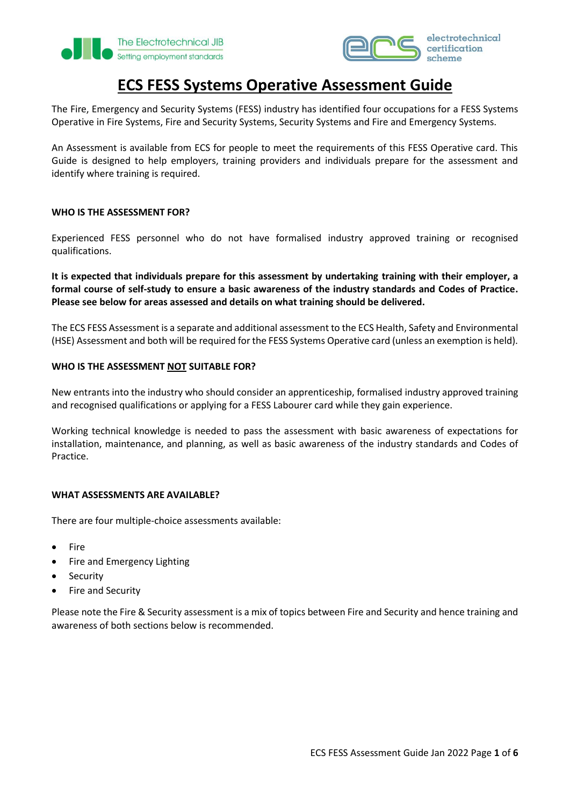



# **ECS FESS Systems Operative Assessment Guide**

The Fire, Emergency and Security Systems (FESS) industry has identified four occupations for a FESS Systems Operative in Fire Systems, Fire and Security Systems, Security Systems and Fire and Emergency Systems.

An Assessment is available from ECS for people to meet the requirements of this FESS Operative card. This Guide is designed to help employers, training providers and individuals prepare for the assessment and identify where training is required.

### **WHO IS THE ASSESSMENT FOR?**

Experienced FESS personnel who do not have formalised industry approved training or recognised qualifications.

**It is expected that individuals prepare for this assessment by undertaking training with their employer, a formal course of self-study to ensure a basic awareness of the industry standards and Codes of Practice. Please see below for areas assessed and details on what training should be delivered.** 

The ECS FESS Assessment is a separate and additional assessment to the ECS Health, Safety and Environmental (HSE) Assessment and both will be required for the FESS Systems Operative card (unless an exemption is held).

### **WHO IS THE ASSESSMENT NOT SUITABLE FOR?**

New entrants into the industry who should consider an apprenticeship, formalised industry approved training and recognised qualifications or applying for a FESS Labourer card while they gain experience.

Working technical knowledge is needed to pass the assessment with basic awareness of expectations for installation, maintenance, and planning, as well as basic awareness of the industry standards and Codes of Practice.

#### **WHAT ASSESSMENTS ARE AVAILABLE?**

There are four multiple-choice assessments available:

- Fire
- Fire and Emergency Lighting
- **Security**
- Fire and Security

Please note the Fire & Security assessment is a mix of topics between Fire and Security and hence training and awareness of both sections below is recommended.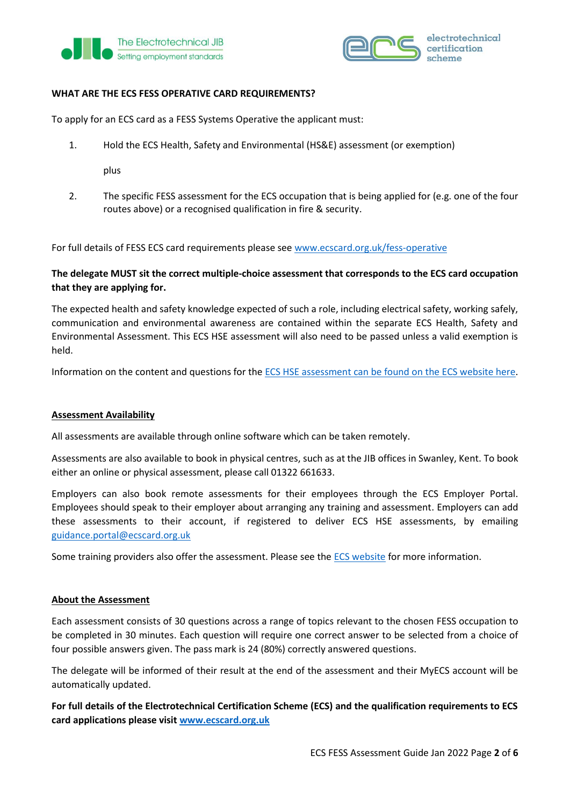



## **WHAT ARE THE ECS FESS OPERATIVE CARD REQUIREMENTS?**

To apply for an ECS card as a FESS Systems Operative the applicant must:

1. Hold the ECS Health, Safety and Environmental (HS&E) assessment (or exemption)

plus

2. The specific FESS assessment for the ECS occupation that is being applied for (e.g. one of the four routes above) or a recognised qualification in fire & security.

For full details of FESS ECS card requirements please se[e www.ecscard.org.uk/fess-operative](http://www.ecscard.org.uk/fess-operative)

## **The delegate MUST sit the correct multiple-choice assessment that corresponds to the ECS card occupation that they are applying for.**

The expected health and safety knowledge expected of such a role, including electrical safety, working safely, communication and environmental awareness are contained within the separate ECS Health, Safety and Environmental Assessment. This ECS HSE assessment will also need to be passed unless a valid exemption is held.

Information on the content and questions for th[e ECS HSE assessment can be found on the ECS website here.](https://www.ecscard.org.uk/content/Health,-Safety-Environmental-Assessment)

## **Assessment Availability**

All assessments are available through online software which can be taken remotely.

Assessments are also available to book in physical centres, such as at the JIB offices in Swanley, Kent. To book either an online or physical assessment, please call 01322 661633.

Employers can also book remote assessments for their employees through the ECS Employer Portal. Employees should speak to their employer about arranging any training and assessment. Employers can add these assessments to their account, if registered to deliver ECS HSE assessments, by emailing [guidance.portal@ecscard.org.uk](mailto:guidance.portal@ecscard.org.uk) 

Some training providers also offer the assessment. Please see the [ECS website](https://www.ecscard.org.uk/content/FESS-Assessment) for more information.

#### **About the Assessment**

Each assessment consists of 30 questions across a range of topics relevant to the chosen FESS occupation to be completed in 30 minutes. Each question will require one correct answer to be selected from a choice of four possible answers given. The pass mark is 24 (80%) correctly answered questions.

The delegate will be informed of their result at the end of the assessment and their MyECS account will be automatically updated.

**For full details of the Electrotechnical Certification Scheme (ECS) and the qualification requirements to ECS card applications please visi[t www.ecscard.org.uk](http://www.ecscard.org.uk/)**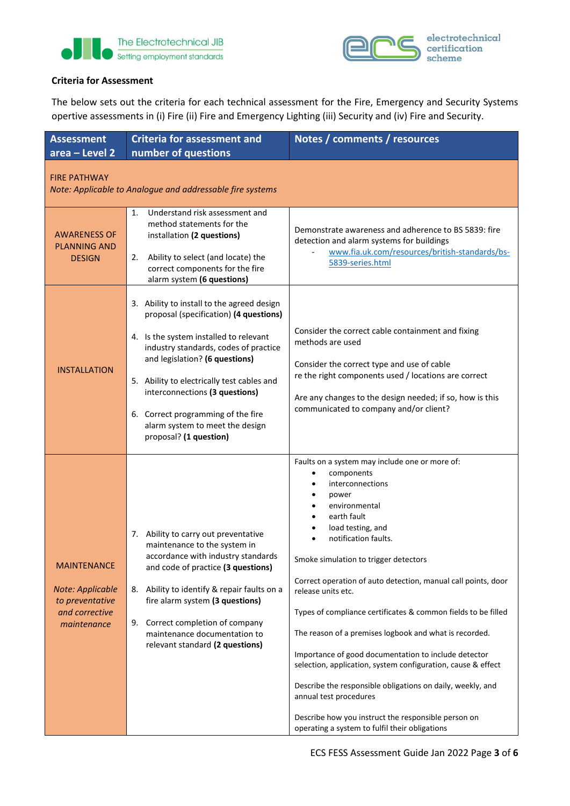



## **Criteria for Assessment**

The below sets out the criteria for each technical assessment for the Fire, Emergency and Security Systems opertive assessments in (i) Fire (ii) Fire and Emergency Lighting (iii) Security and (iv) Fire and Security.

| <b>Assessment</b><br>area - Level 2                                                        | <b>Criteria for assessment and</b><br>number of questions                                                                                                                                                                                                                                                                                                                                    | Notes / comments / resources                                                                                                                                                                                                                                                                                                                                                                                                                                                                                                                                                                                                                                                                                                                               |  |  |  |  |
|--------------------------------------------------------------------------------------------|----------------------------------------------------------------------------------------------------------------------------------------------------------------------------------------------------------------------------------------------------------------------------------------------------------------------------------------------------------------------------------------------|------------------------------------------------------------------------------------------------------------------------------------------------------------------------------------------------------------------------------------------------------------------------------------------------------------------------------------------------------------------------------------------------------------------------------------------------------------------------------------------------------------------------------------------------------------------------------------------------------------------------------------------------------------------------------------------------------------------------------------------------------------|--|--|--|--|
| <b>FIRE PATHWAY</b><br>Note: Applicable to Analogue and addressable fire systems           |                                                                                                                                                                                                                                                                                                                                                                                              |                                                                                                                                                                                                                                                                                                                                                                                                                                                                                                                                                                                                                                                                                                                                                            |  |  |  |  |
| <b>AWARENESS OF</b><br><b>PLANNING AND</b><br><b>DESIGN</b>                                | Understand risk assessment and<br>1.<br>method statements for the<br>installation (2 questions)<br>Ability to select (and locate) the<br>2.<br>correct components for the fire<br>alarm system (6 questions)                                                                                                                                                                                 | Demonstrate awareness and adherence to BS 5839: fire<br>detection and alarm systems for buildings<br>www.fia.uk.com/resources/british-standards/bs-<br>5839-series.html                                                                                                                                                                                                                                                                                                                                                                                                                                                                                                                                                                                    |  |  |  |  |
| <b>INSTALLATION</b>                                                                        | 3. Ability to install to the agreed design<br>proposal (specification) (4 questions)<br>4. Is the system installed to relevant<br>industry standards, codes of practice<br>and legislation? (6 questions)<br>5. Ability to electrically test cables and<br>interconnections (3 questions)<br>6. Correct programming of the fire<br>alarm system to meet the design<br>proposal? (1 question) | Consider the correct cable containment and fixing<br>methods are used<br>Consider the correct type and use of cable<br>re the right components used / locations are correct<br>Are any changes to the design needed; if so, how is this<br>communicated to company and/or client?                                                                                                                                                                                                                                                                                                                                                                                                                                                                          |  |  |  |  |
| <b>MAINTENANCE</b><br>Note: Applicable<br>to preventative<br>and corrective<br>maintenance | 7. Ability to carry out preventative<br>maintenance to the system in<br>accordance with industry standards<br>and code of practice (3 questions)<br>Ability to identify & repair faults on a<br>8.<br>fire alarm system (3 questions)<br>Correct completion of company<br>9.<br>maintenance documentation to<br>relevant standard (2 questions)                                              | Faults on a system may include one or more of:<br>components<br>interconnections<br>power<br>environmental<br>earth fault<br>load testing, and<br>notification faults.<br>Smoke simulation to trigger detectors<br>Correct operation of auto detection, manual call points, door<br>release units etc.<br>Types of compliance certificates & common fields to be filled<br>The reason of a premises logbook and what is recorded.<br>Importance of good documentation to include detector<br>selection, application, system configuration, cause & effect<br>Describe the responsible obligations on daily, weekly, and<br>annual test procedures<br>Describe how you instruct the responsible person on<br>operating a system to fulfil their obligations |  |  |  |  |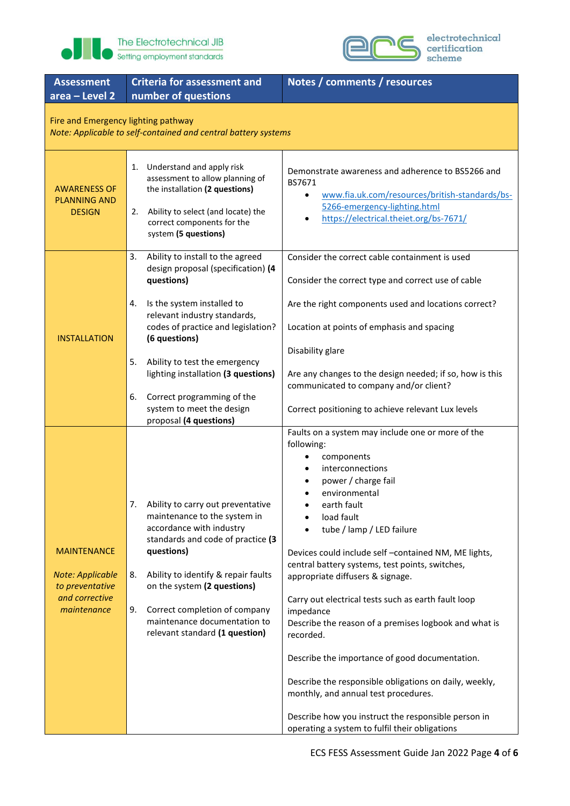



| <b>Assessment</b><br>area - Level 2                                                                   | <b>Criteria for assessment and</b><br>number of questions                                                                                                                                                                                                                                                                             | Notes / comments / resources                                                                                                                                                                                                                                                                                                                                                                                                                                                                                                                                                                                                                                                                                                                                                             |  |  |  |  |
|-------------------------------------------------------------------------------------------------------|---------------------------------------------------------------------------------------------------------------------------------------------------------------------------------------------------------------------------------------------------------------------------------------------------------------------------------------|------------------------------------------------------------------------------------------------------------------------------------------------------------------------------------------------------------------------------------------------------------------------------------------------------------------------------------------------------------------------------------------------------------------------------------------------------------------------------------------------------------------------------------------------------------------------------------------------------------------------------------------------------------------------------------------------------------------------------------------------------------------------------------------|--|--|--|--|
| Fire and Emergency lighting pathway<br>Note: Applicable to self-contained and central battery systems |                                                                                                                                                                                                                                                                                                                                       |                                                                                                                                                                                                                                                                                                                                                                                                                                                                                                                                                                                                                                                                                                                                                                                          |  |  |  |  |
| <b>AWARENESS OF</b><br><b>PLANNING AND</b><br><b>DESIGN</b>                                           | 1. Understand and apply risk<br>assessment to allow planning of<br>the installation (2 questions)<br>Ability to select (and locate) the<br>2.<br>correct components for the<br>system (5 questions)                                                                                                                                   | Demonstrate awareness and adherence to BS5266 and<br>BS7671<br>www.fia.uk.com/resources/british-standards/bs-<br>$\bullet$<br>5266-emergency-lighting.html<br>https://electrical.theiet.org/bs-7671/                                                                                                                                                                                                                                                                                                                                                                                                                                                                                                                                                                                     |  |  |  |  |
| <b>INSTALLATION</b>                                                                                   | Ability to install to the agreed<br>3.<br>design proposal (specification) (4<br>questions)<br>Is the system installed to<br>4.<br>relevant industry standards,<br>codes of practice and legislation?<br>(6 questions)                                                                                                                 | Consider the correct cable containment is used<br>Consider the correct type and correct use of cable<br>Are the right components used and locations correct?<br>Location at points of emphasis and spacing                                                                                                                                                                                                                                                                                                                                                                                                                                                                                                                                                                               |  |  |  |  |
|                                                                                                       | Ability to test the emergency<br>5.<br>lighting installation (3 questions)<br>Correct programming of the<br>6.<br>system to meet the design<br>proposal (4 questions)                                                                                                                                                                 | Disability glare<br>Are any changes to the design needed; if so, how is this<br>communicated to company and/or client?<br>Correct positioning to achieve relevant Lux levels                                                                                                                                                                                                                                                                                                                                                                                                                                                                                                                                                                                                             |  |  |  |  |
| <b>MAINTENANCE</b><br><b>Note: Applicable</b><br>to preventative<br>and corrective<br>maintenance     | Ability to carry out preventative<br>maintenance to the system in<br>accordance with industry<br>standards and code of practice (3<br>questions)<br>Ability to identify & repair faults<br>8.<br>on the system (2 questions)<br>Correct completion of company<br>9.<br>maintenance documentation to<br>relevant standard (1 question) | Faults on a system may include one or more of the<br>following:<br>components<br>٠<br>interconnections<br>$\bullet$<br>power / charge fail<br>$\bullet$<br>environmental<br>earth fault<br>load fault<br>tube / lamp / LED failure<br>Devices could include self -contained NM, ME lights,<br>central battery systems, test points, switches,<br>appropriate diffusers & signage.<br>Carry out electrical tests such as earth fault loop<br>impedance<br>Describe the reason of a premises logbook and what is<br>recorded.<br>Describe the importance of good documentation.<br>Describe the responsible obligations on daily, weekly,<br>monthly, and annual test procedures.<br>Describe how you instruct the responsible person in<br>operating a system to fulfil their obligations |  |  |  |  |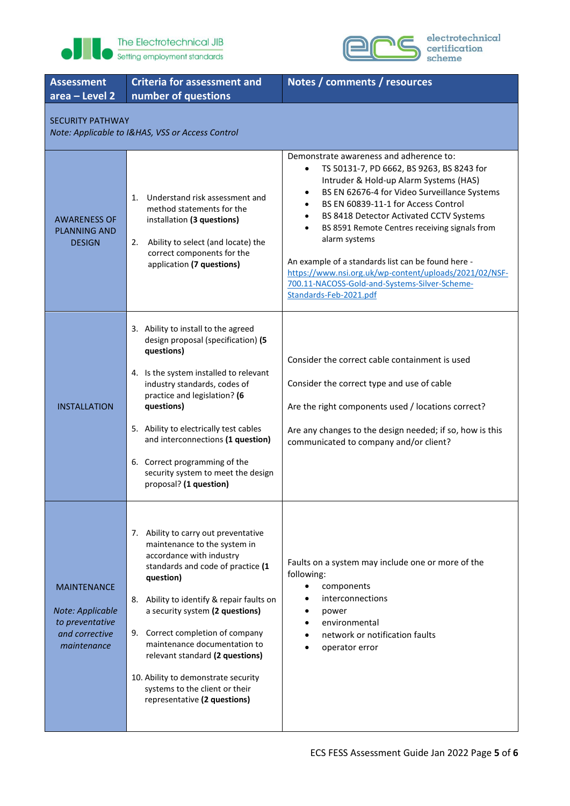



electrotechnical<br>certification<br>scheme

| <b>Assessment</b><br>area - Level 2                                                        | <b>Criteria for assessment and</b><br>number of questions                                                                                                                                                                                                                                                                                                                                                                                          | Notes / comments / resources                                                                                                                                                                                                                                                                                                                                                                                                                                                                                                                         |  |  |  |
|--------------------------------------------------------------------------------------------|----------------------------------------------------------------------------------------------------------------------------------------------------------------------------------------------------------------------------------------------------------------------------------------------------------------------------------------------------------------------------------------------------------------------------------------------------|------------------------------------------------------------------------------------------------------------------------------------------------------------------------------------------------------------------------------------------------------------------------------------------------------------------------------------------------------------------------------------------------------------------------------------------------------------------------------------------------------------------------------------------------------|--|--|--|
| <b>SECURITY PATHWAY</b><br>Note: Applicable to I&HAS, VSS or Access Control                |                                                                                                                                                                                                                                                                                                                                                                                                                                                    |                                                                                                                                                                                                                                                                                                                                                                                                                                                                                                                                                      |  |  |  |
| <b>AWARENESS OF</b><br><b>PLANNING AND</b><br><b>DESIGN</b>                                | Understand risk assessment and<br>1.<br>method statements for the<br>installation (3 questions)<br>Ability to select (and locate) the<br>2.<br>correct components for the<br>application (7 questions)                                                                                                                                                                                                                                             | Demonstrate awareness and adherence to:<br>TS 50131-7, PD 6662, BS 9263, BS 8243 for<br>٠<br>Intruder & Hold-up Alarm Systems (HAS)<br>BS EN 62676-4 for Video Surveillance Systems<br>٠<br>BS EN 60839-11-1 for Access Control<br>BS 8418 Detector Activated CCTV Systems<br>$\bullet$<br>BS 8591 Remote Centres receiving signals from<br>alarm systems<br>An example of a standards list can be found here -<br>https://www.nsi.org.uk/wp-content/uploads/2021/02/NSF-<br>700.11-NACOSS-Gold-and-Systems-Silver-Scheme-<br>Standards-Feb-2021.pdf |  |  |  |
| <b>INSTALLATION</b>                                                                        | 3. Ability to install to the agreed<br>design proposal (specification) (5<br>questions)<br>4. Is the system installed to relevant<br>industry standards, codes of<br>practice and legislation? (6<br>questions)<br>5. Ability to electrically test cables<br>and interconnections (1 question)<br>6. Correct programming of the<br>security system to meet the design<br>proposal? (1 question)                                                    | Consider the correct cable containment is used<br>Consider the correct type and use of cable<br>Are the right components used / locations correct?<br>Are any changes to the design needed; if so, how is this<br>communicated to company and/or client?                                                                                                                                                                                                                                                                                             |  |  |  |
| <b>MAINTENANCE</b><br>Note: Applicable<br>to preventative<br>and corrective<br>maintenance | 7. Ability to carry out preventative<br>maintenance to the system in<br>accordance with industry<br>standards and code of practice (1<br>question)<br>8. Ability to identify & repair faults on<br>a security system (2 questions)<br>9. Correct completion of company<br>maintenance documentation to<br>relevant standard (2 questions)<br>10. Ability to demonstrate security<br>systems to the client or their<br>representative (2 questions) | Faults on a system may include one or more of the<br>following:<br>components<br>$\bullet$<br>interconnections<br>$\bullet$<br>power<br>environmental<br>$\bullet$<br>network or notification faults<br>operator error                                                                                                                                                                                                                                                                                                                               |  |  |  |